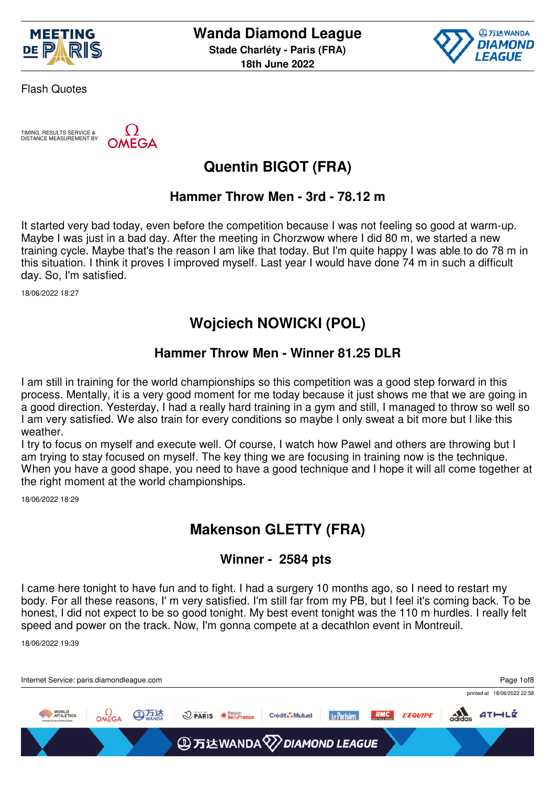



TIMING, RESULTS SERVICE & DISTANCE MEASUREMENT BY

**AEGA** 

# **Quentin BIGOT (FRA)**

### **Hammer Throw Men - 3rd - 78.12 m**

It started very bad today, even before the competition because I was not feeling so good at warm-up. Maybe I was just in a bad day. After the meeting in Chorzwow where I did 80 m, we started a new training cycle. Maybe that's the reason I am like that today. But I'm quite happy I was able to do 78 m in this situation. I think it proves I improved myself. Last year I would have done 74 m in such a difficult day. So, I'm satisfied.

18/06/2022 18:27

### **Wojciech NOWICKI (POL)**

#### **Hammer Throw Men - Winner 81.25 DLR**

I am still in training for the world championships so this competition was a good step forward in this process. Mentally, it is a very good moment for me today because it just shows me that we are going in a good direction. Yesterday, I had a really hard training in a gym and still, I managed to throw so well so I am very satisfied. We also train for every conditions so maybe I only sweat a bit more but I like this weather.

I try to focus on myself and execute well. Of course, I watch how Pawel and others are throwing but I am trying to stay focused on myself. The key thing we are focusing in training now is the technique. When you have a good shape, you need to have a good technique and I hope it will all come together at the right moment at the world championships.

18/06/2022 18:29

### **Makenson GLETTY (FRA)**

#### **Winner - 2584 pts**

I came here tonight to have fun and to fight. I had a surgery 10 months ago, so I need to restart my body. For all these reasons, I' m very satisfied. I'm still far from my PB, but I feel it's coming back. To be honest, I did not expect to be so good tonight. My best event tonight was the 110 m hurdles. I really felt speed and power on the track. Now, I'm gonna compete at a decathlon event in Montreuil.

18/06/2022 19:39

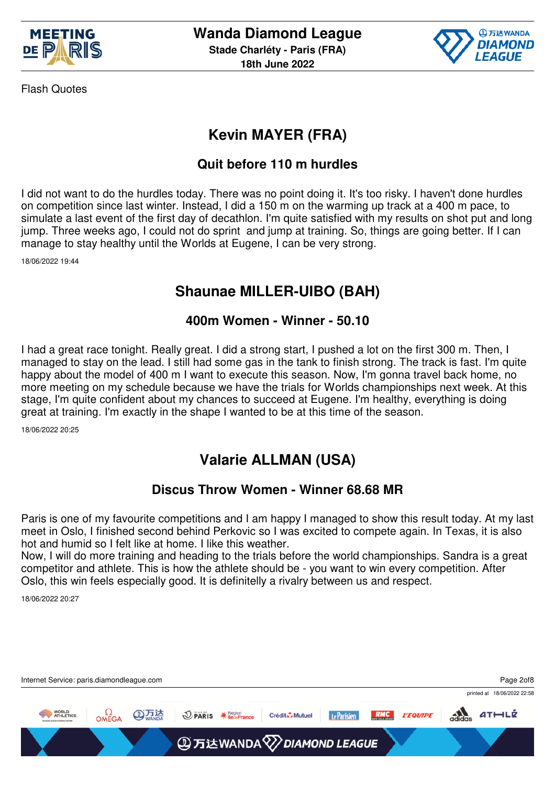



## **Kevin MAYER (FRA)**

### **Quit before 110 m hurdles**

I did not want to do the hurdles today. There was no point doing it. It's too risky. I haven't done hurdles on competition since last winter. Instead, I did a 150 m on the warming up track at a 400 m pace, to simulate a last event of the first day of decathlon. I'm quite satisfied with my results on shot put and long jump. Three weeks ago, I could not do sprint and jump at training. So, things are going better. If I can manage to stay healthy until the Worlds at Eugene, I can be very strong.

18/06/2022 19:44

## **Shaunae MILLER-UIBO (BAH)**

#### **400m Women - Winner - 50.10**

I had a great race tonight. Really great. I did a strong start, I pushed a lot on the first 300 m. Then, I managed to stay on the lead. I still had some gas in the tank to finish strong. The track is fast. I'm quite happy about the model of 400 m I want to execute this season. Now, I'm gonna travel back home, no more meeting on my schedule because we have the trials for Worlds championships next week. At this stage, I'm quite confident about my chances to succeed at Eugene. I'm healthy, everything is doing great at training. I'm exactly in the shape I wanted to be at this time of the season.

18/06/2022 20:25

## **Valarie ALLMAN (USA)**

#### **Discus Throw Women - Winner 68.68 MR**

Paris is one of my favourite competitions and I am happy I managed to show this result today. At my last meet in Oslo, I finished second behind Perkovic so I was excited to compete again. In Texas, it is also hot and humid so I felt like at home. I like this weather.

Now, I will do more training and heading to the trials before the world championships. Sandra is a great competitor and athlete. This is how the athlete should be - you want to win every competition. After Oslo, this win feels especially good. It is definitelly a rivalry between us and respect.

18/06/2022 20:27

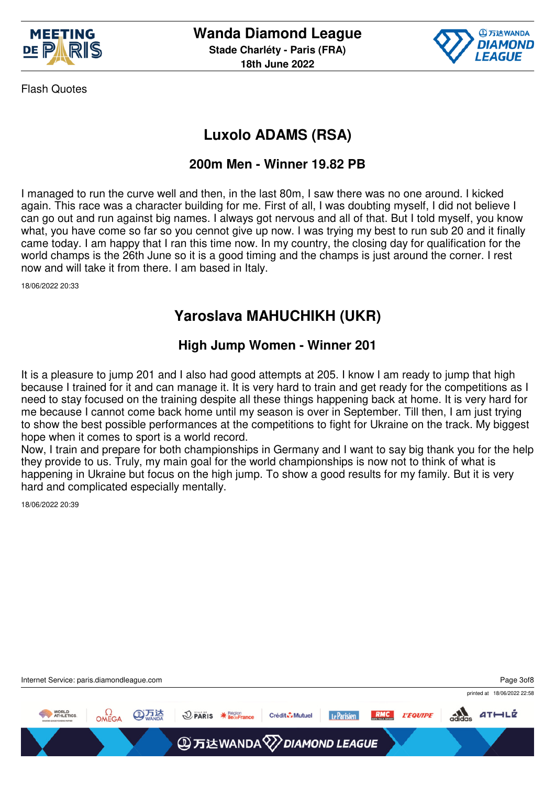



# **Luxolo ADAMS (RSA)**

### **200m Men - Winner 19.82 PB**

I managed to run the curve well and then, in the last 80m, I saw there was no one around. I kicked again. This race was a character building for me. First of all, I was doubting myself, I did not believe I can go out and run against big names. I always got nervous and all of that. But I told myself, you know what, you have come so far so you cennot give up now. I was trying my best to run sub 20 and it finally came today. I am happy that I ran this time now. In my country, the closing day for qualification for the world champs is the 26th June so it is a good timing and the champs is just around the corner. I rest now and will take it from there. I am based in Italy.

18/06/2022 20:33

### **Yaroslava MAHUCHIKH (UKR)**

### **High Jump Women - Winner 201**

It is a pleasure to jump 201 and I also had good attempts at 205. I know I am ready to jump that high because I trained for it and can manage it. It is very hard to train and get ready for the competitions as I need to stay focused on the training despite all these things happening back at home. It is very hard for me because I cannot come back home until my season is over in September. Till then, I am just trying to show the best possible performances at the competitions to fight for Ukraine on the track. My biggest hope when it comes to sport is a world record.

Now, I train and prepare for both championships in Germany and I want to say big thank you for the help they provide to us. Truly, my main goal for the world championships is now not to think of what is happening in Ukraine but focus on the high jump. To show a good results for my family. But it is very hard and complicated especially mentally.

18/06/2022 20:39

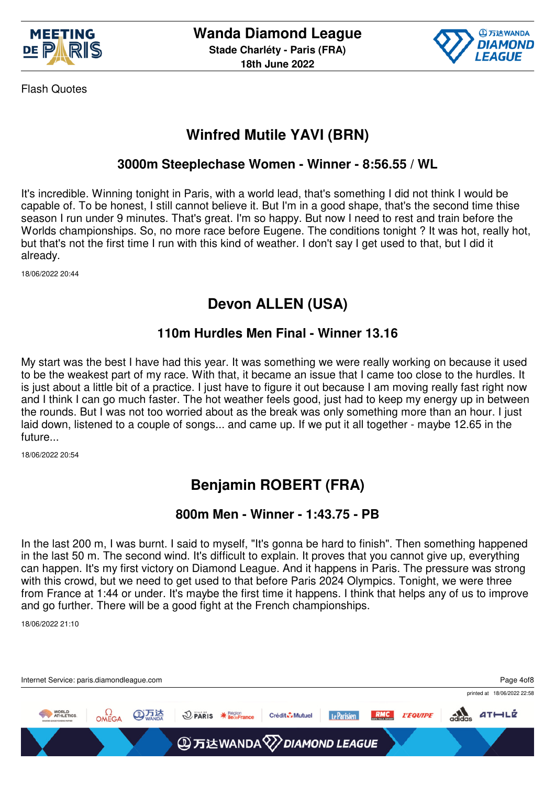



## **Winfred Mutile YAVI (BRN)**

### **3000m Steeplechase Women - Winner - 8:56.55 / WL**

It's incredible. Winning tonight in Paris, with a world lead, that's something I did not think I would be capable of. To be honest, I still cannot believe it. But I'm in a good shape, that's the second time thise season I run under 9 minutes. That's great. I'm so happy. But now I need to rest and train before the Worlds championships. So, no more race before Eugene. The conditions tonight ? It was hot, really hot, but that's not the first time I run with this kind of weather. I don't say I get used to that, but I did it already.

18/06/2022 20:44

### **Devon ALLEN (USA)**

#### **110m Hurdles Men Final - Winner 13.16**

My start was the best I have had this year. It was something we were really working on because it used to be the weakest part of my race. With that, it became an issue that I came too close to the hurdles. It is just about a little bit of a practice. I just have to figure it out because I am moving really fast right now and I think I can go much faster. The hot weather feels good, just had to keep my energy up in between the rounds. But I was not too worried about as the break was only something more than an hour. I just laid down, listened to a couple of songs... and came up. If we put it all together - maybe 12.65 in the future...

18/06/2022 20:54

# **Benjamin ROBERT (FRA)**

#### **800m Men - Winner - 1:43.75 - PB**

In the last 200 m, I was burnt. I said to myself, "It's gonna be hard to finish". Then something happened in the last 50 m. The second wind. It's difficult to explain. It proves that you cannot give up, everything can happen. It's my first victory on Diamond League. And it happens in Paris. The pressure was strong with this crowd, but we need to get used to that before Paris 2024 Olympics. Tonight, we were three from France at 1:44 or under. It's maybe the first time it happens. I think that helps any of us to improve and go further. There will be a good fight at the French championships.

18/06/2022 21:10

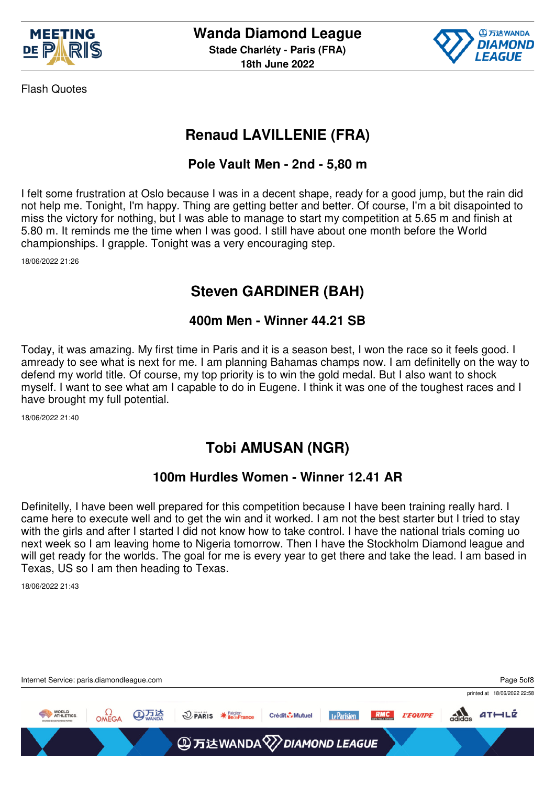



### **Renaud LAVILLENIE (FRA)**

### **Pole Vault Men - 2nd - 5,80 m**

I felt some frustration at Oslo because I was in a decent shape, ready for a good jump, but the rain did not help me. Tonight, I'm happy. Thing are getting better and better. Of course, I'm a bit disapointed to miss the victory for nothing, but I was able to manage to start my competition at 5.65 m and finish at 5.80 m. It reminds me the time when I was good. I still have about one month before the World championships. I grapple. Tonight was a very encouraging step.

18/06/2022 21:26

## **Steven GARDINER (BAH)**

### **400m Men - Winner 44.21 SB**

Today, it was amazing. My first time in Paris and it is a season best, I won the race so it feels good. I amready to see what is next for me. I am planning Bahamas champs now. I am definitelly on the way to defend my world title. Of course, my top priority is to win the gold medal. But I also want to shock myself. I want to see what am I capable to do in Eugene. I think it was one of the toughest races and I have brought my full potential.

18/06/2022 21:40

### **Tobi AMUSAN (NGR)**

#### **100m Hurdles Women - Winner 12.41 AR**

Definitelly, I have been well prepared for this competition because I have been training really hard. I came here to execute well and to get the win and it worked. I am not the best starter but I tried to stay with the girls and after I started I did not know how to take control. I have the national trials coming uo next week so I am leaving home to Nigeria tomorrow. Then I have the Stockholm Diamond league and will get ready for the worlds. The goal for me is every year to get there and take the lead. I am based in Texas, US so I am then heading to Texas.

18/06/2022 21:43

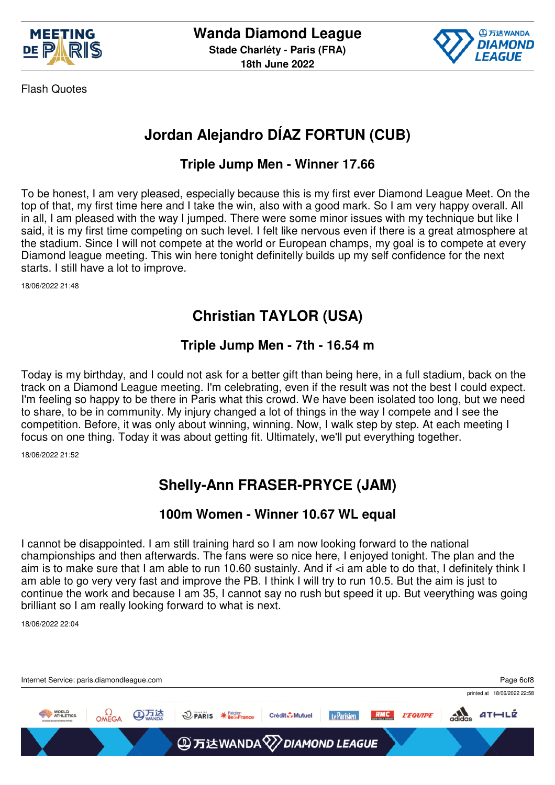



# **Jordan Alejandro DÍAZ FORTUN (CUB)**

### **Triple Jump Men - Winner 17.66**

To be honest, I am very pleased, especially because this is my first ever Diamond League Meet. On the top of that, my first time here and I take the win, also with a good mark. So I am very happy overall. All in all, I am pleased with the way I jumped. There were some minor issues with my technique but like I said, it is my first time competing on such level. I felt like nervous even if there is a great atmosphere at the stadium. Since I will not compete at the world or European champs, my goal is to compete at every Diamond league meeting. This win here tonight definitelly builds up my self confidence for the next starts. I still have a lot to improve.

18/06/2022 21:48

## **Christian TAYLOR (USA)**

### **Triple Jump Men - 7th - 16.54 m**

Today is my birthday, and I could not ask for a better gift than being here, in a full stadium, back on the track on a Diamond League meeting. I'm celebrating, even if the result was not the best I could expect. I'm feeling so happy to be there in Paris what this crowd. We have been isolated too long, but we need to share, to be in community. My injury changed a lot of things in the way I compete and I see the competition. Before, it was only about winning, winning. Now, I walk step by step. At each meeting I focus on one thing. Today it was about getting fit. Ultimately, we'll put everything together.

18/06/2022 21:52

# **Shelly-Ann FRASER-PRYCE (JAM)**

#### **100m Women - Winner 10.67 WL equal**

I cannot be disappointed. I am still training hard so I am now looking forward to the national championships and then afterwards. The fans were so nice here, I enjoyed tonight. The plan and the aim is to make sure that I am able to run 10.60 sustainly. And if <i am able to do that, I definitely think I am able to go very very fast and improve the PB. I think I will try to run 10.5. But the aim is just to continue the work and because I am 35, I cannot say no rush but speed it up. But veerything was going brilliant so I am really looking forward to what is next.

18/06/2022 22:04

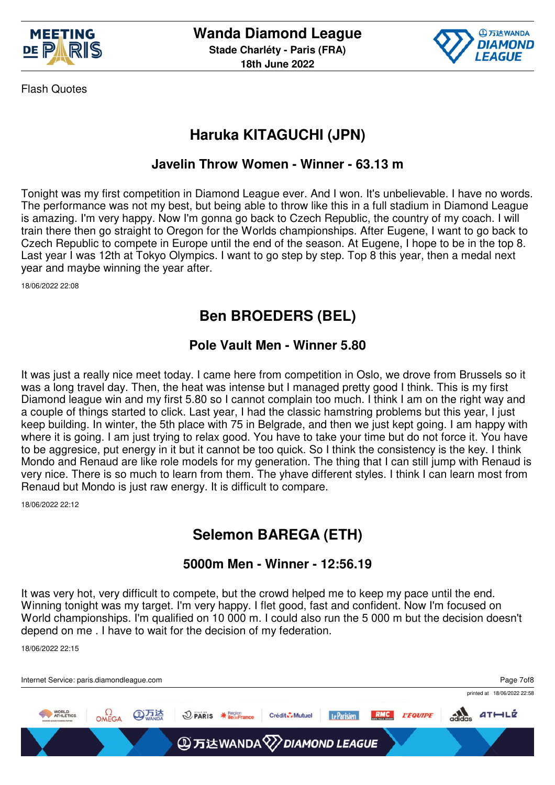



## **Haruka KITAGUCHI (JPN)**

#### **Javelin Throw Women - Winner - 63.13 m**

Tonight was my first competition in Diamond League ever. And I won. It's unbelievable. I have no words. The performance was not my best, but being able to throw like this in a full stadium in Diamond League is amazing. I'm very happy. Now I'm gonna go back to Czech Republic, the country of my coach. I will train there then go straight to Oregon for the Worlds championships. After Eugene, I want to go back to Czech Republic to compete in Europe until the end of the season. At Eugene, I hope to be in the top 8. Last year I was 12th at Tokyo Olympics. I want to go step by step. Top 8 this year, then a medal next year and maybe winning the year after.

18/06/2022 22:08

## **Ben BROEDERS (BEL)**

### **Pole Vault Men - Winner 5.80**

It was just a really nice meet today. I came here from competition in Oslo, we drove from Brussels so it was a long travel day. Then, the heat was intense but I managed pretty good I think. This is my first Diamond league win and my first 5.80 so I cannot complain too much. I think I am on the right way and a couple of things started to click. Last year, I had the classic hamstring problems but this year, I just keep building. In winter, the 5th place with 75 in Belgrade, and then we just kept going. I am happy with where it is going. I am just trying to relax good. You have to take your time but do not force it. You have to be aggresice, put energy in it but it cannot be too quick. So I think the consistency is the key. I think Mondo and Renaud are like role models for my generation. The thing that I can still jump with Renaud is very nice. There is so much to learn from them. The yhave different styles. I think I can learn most from Renaud but Mondo is just raw energy. It is difficult to compare.

18/06/2022 22:12

## **Selemon BAREGA (ETH)**

#### **5000m Men - Winner - 12:56.19**

It was very hot, very difficult to compete, but the crowd helped me to keep my pace until the end. Winning tonight was my target. I'm very happy. I flet good, fast and confident. Now I'm focused on World championships. I'm qualified on 10 000 m. I could also run the 5 000 m but the decision doesn't depend on me . I have to wait for the decision of my federation.

18/06/2022 22:15